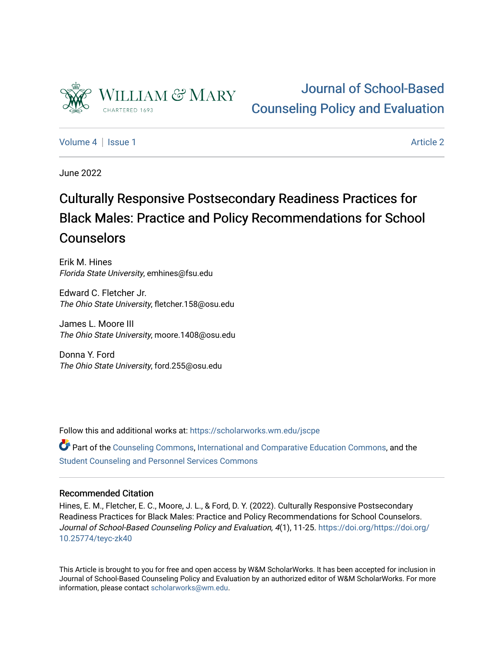

# [Journal of School-Based](https://scholarworks.wm.edu/jscpe)  [Counseling Policy and Evaluation](https://scholarworks.wm.edu/jscpe)

[Volume 4](https://scholarworks.wm.edu/jscpe/vol4) | [Issue 1](https://scholarworks.wm.edu/jscpe/vol4/iss1) Article 2

June 2022

# Culturally Responsive Postsecondary Readiness Practices for Black Males: Practice and Policy Recommendations for School **Counselors**

Erik M. Hines Florida State University, emhines@fsu.edu

Edward C. Fletcher Jr. The Ohio State University, fletcher.158@osu.edu

James L. Moore III The Ohio State University, moore.1408@osu.edu

Donna Y. Ford The Ohio State University, ford.255@osu.edu

Follow this and additional works at: [https://scholarworks.wm.edu/jscpe](https://scholarworks.wm.edu/jscpe?utm_source=scholarworks.wm.edu%2Fjscpe%2Fvol4%2Fiss1%2F2&utm_medium=PDF&utm_campaign=PDFCoverPages) 

Part of the [Counseling Commons,](https://network.bepress.com/hgg/discipline/1268?utm_source=scholarworks.wm.edu%2Fjscpe%2Fvol4%2Fiss1%2F2&utm_medium=PDF&utm_campaign=PDFCoverPages) [International and Comparative Education Commons](https://network.bepress.com/hgg/discipline/797?utm_source=scholarworks.wm.edu%2Fjscpe%2Fvol4%2Fiss1%2F2&utm_medium=PDF&utm_campaign=PDFCoverPages), and the [Student Counseling and Personnel Services Commons](https://network.bepress.com/hgg/discipline/802?utm_source=scholarworks.wm.edu%2Fjscpe%2Fvol4%2Fiss1%2F2&utm_medium=PDF&utm_campaign=PDFCoverPages)

# Recommended Citation

Hines, E. M., Fletcher, E. C., Moore, J. L., & Ford, D. Y. (2022). Culturally Responsive Postsecondary Readiness Practices for Black Males: Practice and Policy Recommendations for School Counselors. Journal of School-Based Counseling Policy and Evaluation, 4(1), 11-25. [https://doi.org/https://doi.org/](https://doi.org/https://doi.org/10.25774/teyc-zk40) [10.25774/teyc-zk40](https://doi.org/https://doi.org/10.25774/teyc-zk40)

This Article is brought to you for free and open access by W&M ScholarWorks. It has been accepted for inclusion in Journal of School-Based Counseling Policy and Evaluation by an authorized editor of W&M ScholarWorks. For more information, please contact [scholarworks@wm.edu](mailto:scholarworks@wm.edu).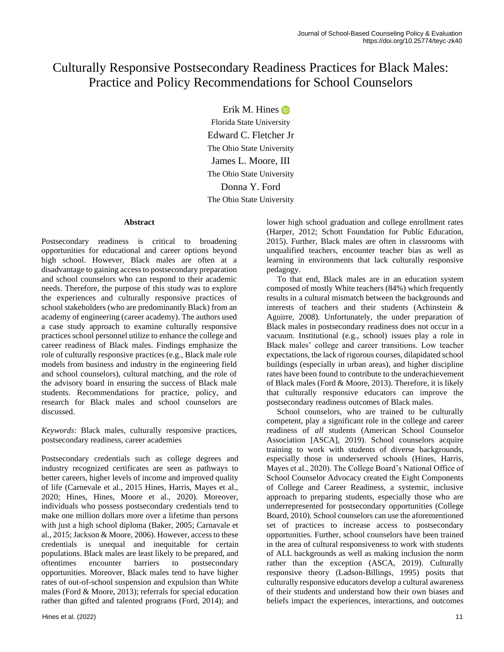# Culturally Responsive Postsecondary Readiness Practices for Black Males: Practice and Policy Recommendations for School Counselors

Erik M. Hines Florida State University Edward C. Fletcher Jr The Ohio State University James L. Moore, III The Ohio State University Donna Y. Ford The Ohio State University

# **Abstract**

Postsecondary readiness is critical to broadening opportunities for educational and career options beyond high school. However, Black males are often at a disadvantage to gaining access to postsecondary preparation and school counselors who can respond to their academic needs. Therefore, the purpose of this study was to explore the experiences and culturally responsive practices of school stakeholders (who are predominantly Black) from an academy of engineering (career academy). The authors used a case study approach to examine culturally responsive practices school personnel utilize to enhance the college and career readiness of Black males. Findings emphasize the role of culturally responsive practices (e.g., Black male role models from business and industry in the engineering field and school counselors), cultural matching, and the role of the advisory board in ensuring the success of Black male students. Recommendations for practice, policy, and research for Black males and school counselors are discussed.

*Keywords*: Black males, culturally responsive practices, postsecondary readiness, career academies

Postsecondary credentials such as college degrees and industry recognized certificates are seen as pathways to better careers, higher levels of income and improved quality of life (Carnevale et al., 2015 Hines, Harris, Mayes et al., 2020; Hines, Hines, Moore et al., 2020). Moreover, individuals who possess postsecondary credentials tend to make one million dollars more over a lifetime than persons with just a high school diploma (Baker, 2005; Carnavale et al., 2015; Jackson & Moore, 2006). However, access to these credentials is unequal and inequitable for certain populations. Black males are least likely to be prepared, and oftentimes encounter barriers to postsecondary opportunities. Moreover, Black males tend to have higher rates of out-of-school suspension and expulsion than White males (Ford & Moore, 2013); referrals for special education rather than gifted and talented programs (Ford, 2014); and lower high school graduation and college enrollment rates (Harper, 2012; Schott Foundation for Public Education, 2015). Further, Black males are often in classrooms with unqualified teachers, encounter teacher bias as well as learning in environments that lack culturally responsive pedagogy.

 To that end, Black males are in an education system composed of mostly White teachers (84%) which frequently results in a cultural mismatch between the backgrounds and interests of teachers and their students (Achinstein & Aguirre, 2008). Unfortunately, the under preparation of Black males in postsecondary readiness does not occur in a vacuum. Institutional (e.g., school) issues play a role in Black males' college and career transitions. Low teacher expectations, the lack of rigorous courses, dilapidated school buildings (especially in urban areas), and higher discipline rates have been found to contribute to the underachievement of Black males (Ford & Moore, 2013). Therefore, it is likely that culturally responsive educators can improve the postsecondary readiness outcomes of Black males.

 School counselors, who are trained to be culturally competent, play a significant role in the college and career readiness of *all* students (American School Counselor Association [ASCA], 2019). School counselors acquire training to work with students of diverse backgrounds, especially those in underserved schools (Hines, Harris, Mayes et al., 2020). The College Board's National Office of School Counselor Advocacy created the Eight Components of College and Career Readiness, a systemic, inclusive approach to preparing students, especially those who are underrepresented for postsecondary opportunities (College Board, 2010). School counselors can use the aforementioned set of practices to increase access to postsecondary opportunities. Further, school counselors have been trained in the area of cultural responsiveness to work with students of ALL backgrounds as well as making inclusion the norm rather than the exception (ASCA, 2019). Culturally responsive theory (Ladson-Billings, 1995) posits that culturally responsive educators develop a cultural awareness of their students and understand how their own biases and beliefs impact the experiences, interactions, and outcomes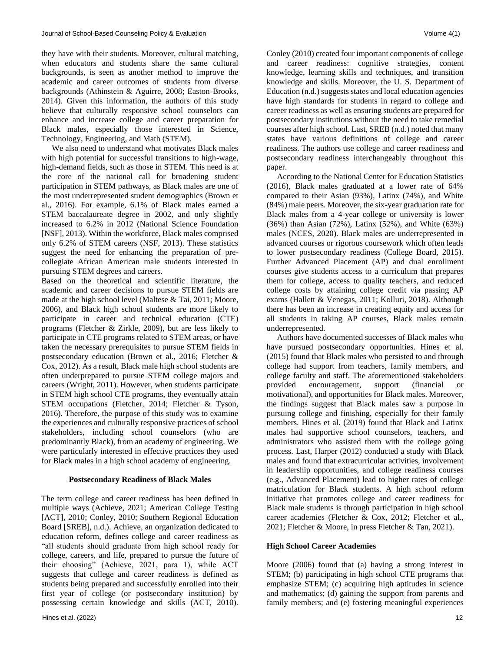they have with their students. Moreover, cultural matching, when educators and students share the same cultural backgrounds, is seen as another method to improve the academic and career outcomes of students from diverse backgrounds (Athinstein & Aguirre, 2008; Easton-Brooks, 2014). Given this information, the authors of this study believe that culturally responsive school counselors can enhance and increase college and career preparation for Black males, especially those interested in Science, Technology, Engineering, and Math (STEM).

 We also need to understand what motivates Black males with high potential for successful transitions to high-wage, high-demand fields, such as those in STEM. This need is at the core of the national call for broadening student participation in STEM pathways, as Black males are one of the most underrepresented student demographics (Brown et al., 2016). For example, 6.1% of Black males earned a STEM baccalaureate degree in 2002, and only slightly increased to 6.2% in 2012 (National Science Foundation [NSF], 2013). Within the workforce, Black males comprised only 6.2% of STEM careers (NSF, 2013). These statistics suggest the need for enhancing the preparation of precollegiate African American male students interested in pursuing STEM degrees and careers.

Based on the theoretical and scientific literature, the academic and career decisions to pursue STEM fields are made at the high school level (Maltese & Tai, 2011; Moore, 2006), and Black high school students are more likely to participate in career and technical education (CTE) programs (Fletcher & Zirkle, 2009), but are less likely to participate in CTE programs related to STEM areas, or have taken the necessary prerequisites to pursue STEM fields in postsecondary education (Brown et al., 2016; Fletcher & Cox, 2012). As a result, Black male high school students are often underprepared to pursue STEM college majors and careers (Wright, 2011). However, when students participate in STEM high school CTE programs, they eventually attain STEM occupations (Fletcher, 2014; Fletcher & Tyson, 2016). Therefore, the purpose of this study was to examine the experiences and culturally responsive practices of school stakeholders, including school counselors (who are predominantly Black), from an academy of engineering. We were particularly interested in effective practices they used for Black males in a high school academy of engineering.

# **Postsecondary Readiness of Black Males**

The term college and career readiness has been defined in multiple ways (Achieve, 2021; American College Testing [ACT], 2010; Conley, 2010; Southern Regional Education Board [SREB], n.d.). Achieve, an organization dedicated to education reform, defines college and career readiness as "all students should graduate from high school ready for college, careers, and life, prepared to pursue the future of their choosing" (Achieve, 2021, para 1), while ACT suggests that college and career readiness is defined as students being prepared and successfully enrolled into their first year of college (or postsecondary institution) by possessing certain knowledge and skills (ACT, 2010). Conley (2010) created four important components of college and career readiness: cognitive strategies, content knowledge, learning skills and techniques, and transition knowledge and skills. Moreover, the U. S. Department of Education (n.d.) suggests states and local education agencies have high standards for students in regard to college and career readiness as well as ensuring students are prepared for postsecondary institutions without the need to take remedial courses after high school. Last, SREB (n.d.) noted that many states have various definitions of college and career readiness. The authors use college and career readiness and postsecondary readiness interchangeably throughout this paper.

 According to the National Center for Education Statistics (2016), Black males graduated at a lower rate of 64% compared to their Asian (93%), Latinx (74%), and White (84%) male peers. Moreover, the six-year graduation rate for Black males from a 4-year college or university is lower (36%) than Asian (72%), Latinx (52%), and White (63%) males (NCES, 2020). Black males are underrepresented in advanced courses or rigorous coursework which often leads to lower postsecondary readiness (College Board, 2015). Further Advanced Placement (AP) and dual enrollment courses give students access to a curriculum that prepares them for college, access to quality teachers, and reduced college costs by attaining college credit via passing AP exams (Hallett & Venegas, 2011; Kolluri, 2018). Although there has been an increase in creating equity and access for all students in taking AP courses, Black males remain underrepresented.

 Authors have documented successes of Black males who have pursued postsecondary opportunities. Hines et al. (2015) found that Black males who persisted to and through college had support from teachers, family members, and college faculty and staff. The aforementioned stakeholders provided encouragement, support (financial or motivational), and opportunities for Black males. Moreover, the findings suggest that Black males saw a purpose in pursuing college and finishing, especially for their family members. Hines et al. (2019) found that Black and Latinx males had supportive school counselors, teachers, and administrators who assisted them with the college going process. Last, Harper (2012) conducted a study with Black males and found that extracurricular activities, involvement in leadership opportunities, and college readiness courses (e.g., Advanced Placement) lead to higher rates of college matriculation for Black students. A high school reform initiative that promotes college and career readiness for Black male students is through participation in high school career academies (Fletcher & Cox, 2012; Fletcher et al., 2021; Fletcher & Moore, in press Fletcher & Tan, 2021).

# **High School Career Academies**

Moore (2006) found that (a) having a strong interest in STEM; (b) participating in high school CTE programs that emphasize STEM; (c) acquiring high aptitudes in science and mathematics; (d) gaining the support from parents and family members; and (e) fostering meaningful experiences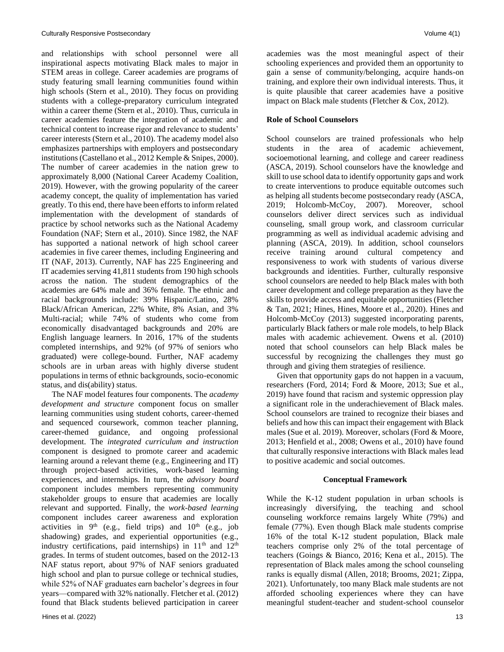and relationships with school personnel were all inspirational aspects motivating Black males to major in STEM areas in college. Career academies are programs of study featuring small learning communities found within high schools (Stern et al., 2010). They focus on providing students with a college-preparatory curriculum integrated within a career theme (Stern et al., 2010). Thus, curricula in career academies feature the integration of academic and technical content to increase rigor and relevance to students' career interests (Stern et al., 2010). The academy model also emphasizes partnerships with employers and postsecondary institutions (Castellano et al., 2012 Kemple & Snipes, 2000). The number of career academies in the nation grew to approximately 8,000 (National Career Academy Coalition, 2019). However, with the growing popularity of the career academy concept, the quality of implementation has varied greatly. To this end, there have been efforts to inform related implementation with the development of standards of practice by school networks such as the National Academy Foundation (NAF; Stern et al., 2010). Since 1982, the NAF has supported a national network of high school career academies in five career themes, including Engineering and IT (NAF, 2013). Currently, NAF has 225 Engineering and IT academies serving 41,811 students from 190 high schools across the nation. The student demographics of the academies are 64% male and 36% female. The ethnic and racial backgrounds include: 39% Hispanic/Latino, 28% Black/African American, 22% White, 8% Asian, and 3% Multi-racial; while 74% of students who come from economically disadvantaged backgrounds and 20% are English language learners. In 2016, 17% of the students completed internships, and 92% (of 97% of seniors who graduated) were college-bound. Further, NAF academy schools are in urban areas with highly diverse student populations in terms of ethnic backgrounds, socio-economic status, and dis(ability) status.

 The NAF model features four components. The *academy development and structure* component focus on smaller learning communities using student cohorts, career-themed and sequenced coursework, common teacher planning, career-themed guidance, and ongoing professional development. The *integrated curriculum and instruction* component is designed to promote career and academic learning around a relevant theme (e.g., Engineering and IT) through project-based activities, work-based learning experiences, and internships. In turn, the *advisory board* component includes members representing community stakeholder groups to ensure that academies are locally relevant and supported. Finally, the *work-based learning* component includes career awareness and exploration activities in  $9<sup>th</sup>$  (e.g., field trips) and  $10<sup>th</sup>$  (e.g., job shadowing) grades, and experiential opportunities (e.g., industry certifications, paid internships) in  $11<sup>th</sup>$  and  $12<sup>th</sup>$ grades. In terms of student outcomes, based on the 2012-13 NAF status report, about 97% of NAF seniors graduated high school and plan to pursue college or technical studies, while 52% of NAF graduates earn bachelor's degrees in four years—compared with 32% nationally. Fletcher et al. (2012) found that Black students believed participation in career academies was the most meaningful aspect of their schooling experiences and provided them an opportunity to gain a sense of community/belonging, acquire hands-on training, and explore their own individual interests. Thus, it is quite plausible that career academies have a positive impact on Black male students (Fletcher & Cox, 2012).

# **Role of School Counselors**

School counselors are trained professionals who help students in the area of academic achievement, socioemotional learning, and college and career readiness (ASCA, 2019). School counselors have the knowledge and skill to use school data to identify opportunity gaps and work to create interventions to produce equitable outcomes such as helping all students become postsecondary ready (ASCA, 2019; Holcomb-McCoy, 2007). Moreover, school counselors deliver direct services such as individual counseling, small group work, and classroom curricular programming as well as individual academic advising and planning (ASCA, 2019). In addition, school counselors receive training around cultural competency and responsiveness to work with students of various diverse backgrounds and identities. Further, culturally responsive school counselors are needed to help Black males with both career development and college preparation as they have the skills to provide access and equitable opportunities (Fletcher & Tan, 2021; Hines, Hines, Moore et al., 2020). Hines and Holcomb-McCoy (2013) suggested incorporating parents, particularly Black fathers or male role models, to help Black males with academic achievement. Owens et al. (2010) noted that school counselors can help Black males be successful by recognizing the challenges they must go through and giving them strategies of resilience.

 Given that opportunity gaps do not happen in a vacuum, researchers (Ford, 2014; Ford & Moore, 2013; Sue et al., 2019) have found that racism and systemic oppression play a significant role in the underachievement of Black males. School counselors are trained to recognize their biases and beliefs and how this can impact their engagement with Black males (Sue et al. 2019). Moreover, scholars (Ford & Moore, 2013; Henfield et al., 2008; Owens et al., 2010) have found that culturally responsive interactions with Black males lead to positive academic and social outcomes.

# **Conceptual Framework**

While the K-12 student population in urban schools is increasingly diversifying, the teaching and school counseling workforce remains largely White (79%) and female (77%). Even though Black male students comprise 16% of the total K-12 student population, Black male teachers comprise only 2% of the total percentage of teachers (Goings & Bianco, 2016; Kena et al., 2015). The representation of Black males among the school counseling ranks is equally dismal (Allen, 2018; Brooms, 2021; Zippa, 2021). Unfortunately, too many Black male students are not afforded schooling experiences where they can have meaningful student-teacher and student-school counselor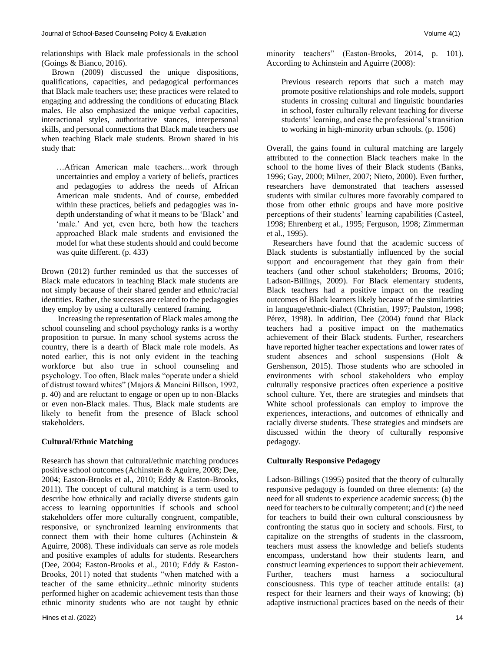relationships with Black male professionals in the school (Goings & Bianco, 2016).

 Brown (2009) discussed the unique dispositions, qualifications, capacities, and pedagogical performances that Black male teachers use; these practices were related to engaging and addressing the conditions of educating Black males. He also emphasized the unique verbal capacities, interactional styles, authoritative stances, interpersonal skills, and personal connections that Black male teachers use when teaching Black male students. Brown shared in his study that:

…African American male teachers…work through uncertainties and employ a variety of beliefs, practices and pedagogies to address the needs of African American male students. And of course, embedded within these practices, beliefs and pedagogies was indepth understanding of what it means to be 'Black' and 'male.' And yet, even here, both how the teachers approached Black male students and envisioned the model for what these students should and could become was quite different. (p. 433)

Brown (2012) further reminded us that the successes of Black male educators in teaching Black male students are not simply because of their shared gender and ethnic/racial identities. Rather, the successes are related to the pedagogies they employ by using a culturally centered framing.

 Increasing the representation of Black males among the school counseling and school psychology ranks is a worthy proposition to pursue. In many school systems across the country, there is a dearth of Black male role models. As noted earlier, this is not only evident in the teaching workforce but also true in school counseling and psychology. Too often, Black males "operate under a shield of distrust toward whites" (Majors & Mancini Billson, 1992, p. 40) and are reluctant to engage or open up to non-Blacks or even non-Black males. Thus, Black male students are likely to benefit from the presence of Black school stakeholders.

# **Cultural/Ethnic Matching**

Research has shown that cultural/ethnic matching produces positive school outcomes (Achinstein & Aguirre, 2008; Dee, 2004; Easton-Brooks et al., 2010; Eddy & Easton-Brooks, 2011). The concept of cultural matching is a term used to describe how ethnically and racially diverse students gain access to learning opportunities if schools and school stakeholders offer more culturally congruent, compatible, responsive, or synchronized learning environments that connect them with their home cultures (Achinstein & Aguirre, 2008). These individuals can serve as role models and positive examples of adults for students. Researchers (Dee, 2004; Easton-Brooks et al., 2010; Eddy & Easton-Brooks, 2011) noted that students "when matched with a teacher of the same ethnicity...ethnic minority students performed higher on academic achievement tests than those ethnic minority students who are not taught by ethnic minority teachers" (Easton-Brooks, 2014, p. 101). According to Achinstein and Aguirre (2008):

Previous research reports that such a match may promote positive relationships and role models, support students in crossing cultural and linguistic boundaries in school, foster culturally relevant teaching for diverse students' learning, and ease the professional's transition to working in high-minority urban schools. (p. 1506)

Overall, the gains found in cultural matching are largely attributed to the connection Black teachers make in the school to the home lives of their Black students (Banks, 1996; Gay, 2000; Milner, 2007; Nieto, 2000). Even further, researchers have demonstrated that teachers assessed students with similar cultures more favorably compared to those from other ethnic groups and have more positive perceptions of their students' learning capabilities (Casteel, 1998; Ehrenberg et al., 1995; Ferguson, 1998; Zimmerman et al., 1995).

 Researchers have found that the academic success of Black students is substantially influenced by the social support and encouragement that they gain from their teachers (and other school stakeholders; Brooms, 2016; Ladson-Billings, 2009). For Black elementary students, Black teachers had a positive impact on the reading outcomes of Black learners likely because of the similarities in language/ethnic-dialect (Christian, 1997; Paulston, 1998; Pérez, 1998). In addition, Dee (2004) found that Black teachers had a positive impact on the mathematics achievement of their Black students. Further, researchers have reported higher teacher expectations and lower rates of student absences and school suspensions (Holt & Gershenson, 2015). Those students who are schooled in environments with school stakeholders who employ culturally responsive practices often experience a positive school culture. Yet, there are strategies and mindsets that White school professionals can employ to improve the experiences, interactions, and outcomes of ethnically and racially diverse students. These strategies and mindsets are discussed within the theory of culturally responsive pedagogy.

# **Culturally Responsive Pedagogy**

Ladson-Billings (1995) posited that the theory of culturally responsive pedagogy is founded on three elements: (a) the need for all students to experience academic success; (b) the need for teachers to be culturally competent; and (c) the need for teachers to build their own cultural consciousness by confronting the status quo in society and schools. First, to capitalize on the strengths of students in the classroom, teachers must assess the knowledge and beliefs students encompass, understand how their students learn, and construct learning experiences to support their achievement. Further, teachers must harness a sociocultural consciousness. This type of teacher attitude entails: (a) respect for their learners and their ways of knowing; (b) adaptive instructional practices based on the needs of their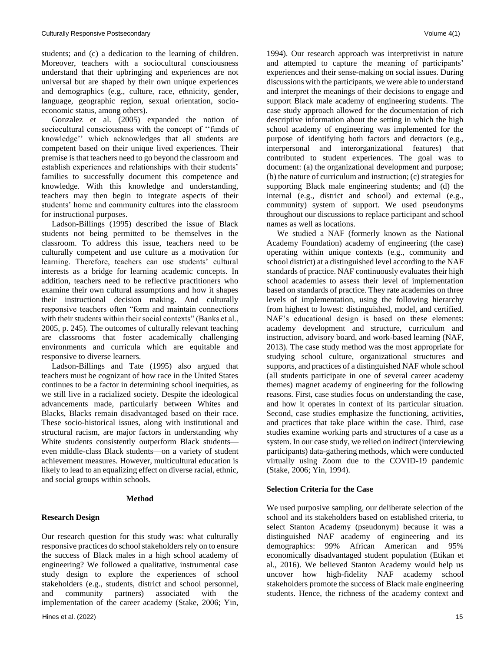students; and (c) a dedication to the learning of children. Moreover, teachers with a sociocultural consciousness understand that their upbringing and experiences are not universal but are shaped by their own unique experiences and demographics (e.g., culture, race, ethnicity, gender, language, geographic region, sexual orientation, socioeconomic status, among others).

 Gonzalez et al. (2005) expanded the notion of sociocultural consciousness with the concept of ''funds of knowledge'' which acknowledges that all students are competent based on their unique lived experiences. Their premise is that teachers need to go beyond the classroom and establish experiences and relationships with their students' families to successfully document this competence and knowledge. With this knowledge and understanding, teachers may then begin to integrate aspects of their students' home and community cultures into the classroom for instructional purposes.

 Ladson-Billings (1995) described the issue of Black students not being permitted to be themselves in the classroom. To address this issue, teachers need to be culturally competent and use culture as a motivation for learning. Therefore, teachers can use students' cultural interests as a bridge for learning academic concepts. In addition, teachers need to be reflective practitioners who examine their own cultural assumptions and how it shapes their instructional decision making. And culturally responsive teachers often "form and maintain connections with their students within their social contexts" (Banks et al., 2005, p. 245). The outcomes of culturally relevant teaching are classrooms that foster academically challenging environments and curricula which are equitable and responsive to diverse learners.

 Ladson-Billings and Tate (1995) also argued that teachers must be cognizant of how race in the United States continues to be a factor in determining school inequities, as we still live in a racialized society. Despite the ideological advancements made, particularly between Whites and Blacks, Blacks remain disadvantaged based on their race. These socio-historical issues, along with institutional and structural racism, are major factors in understanding why White students consistently outperform Black students even middle-class Black students—on a variety of student achievement measures. However, multicultural education is likely to lead to an equalizing effect on diverse racial, ethnic, and social groups within schools.

# **Method**

# **Research Design**

Our research question for this study was: what culturally responsive practices do school stakeholders rely on to ensure the success of Black males in a high school academy of engineering? We followed a qualitative, instrumental case study design to explore the experiences of school stakeholders (e.g., students, district and school personnel, and community partners) associated with the implementation of the career academy (Stake, 2006; Yin, 1994). Our research approach was interpretivist in nature and attempted to capture the meaning of participants' experiences and their sense-making on social issues. During discussions with the participants, we were able to understand and interpret the meanings of their decisions to engage and support Black male academy of engineering students. The case study approach allowed for the documentation of rich descriptive information about the setting in which the high school academy of engineering was implemented for the purpose of identifying both factors and detractors (e.g., interpersonal and interorganizational features) that contributed to student experiences. The goal was to document: (a) the organizational development and purpose; (b) the nature of curriculum and instruction; (c) strategies for supporting Black male engineering students; and (d) the internal (e.g., district and school) and external (e.g., community) system of support. We used pseudonyms throughout our discussions to replace participant and school names as well as locations.

 We studied a NAF (formerly known as the National Academy Foundation) academy of engineering (the case) operating within unique contexts (e.g., community and school district) at a distinguished level according to the NAF standards of practice. NAF continuously evaluates their high school academies to assess their level of implementation based on standards of practice. They rate academies on three levels of implementation, using the following hierarchy from highest to lowest: distinguished, model, and certified. NAF's educational design is based on these elements: academy development and structure, curriculum and instruction, advisory board, and work-based learning (NAF, 2013). The case study method was the most appropriate for studying school culture, organizational structures and supports, and practices of a distinguished NAF whole school (all students participate in one of several career academy themes) magnet academy of engineering for the following reasons. First, case studies focus on understanding the case, and how it operates in context of its particular situation. Second, case studies emphasize the functioning, activities, and practices that take place within the case. Third, case studies examine working parts and structures of a case as a system. In our case study, we relied on indirect (interviewing participants) data-gathering methods, which were conducted virtually using Zoom due to the COVID-19 pandemic (Stake, 2006; Yin, 1994).

# **Selection Criteria for the Case**

We used purposive sampling, our deliberate selection of the school and its stakeholders based on established criteria, to select Stanton Academy (pseudonym) because it was a distinguished NAF academy of engineering and its demographics: 99% African American and 95% economically disadvantaged student population (Etikan et al., 2016). We believed Stanton Academy would help us uncover how high-fidelity NAF academy school stakeholders promote the success of Black male engineering students. Hence, the richness of the academy context and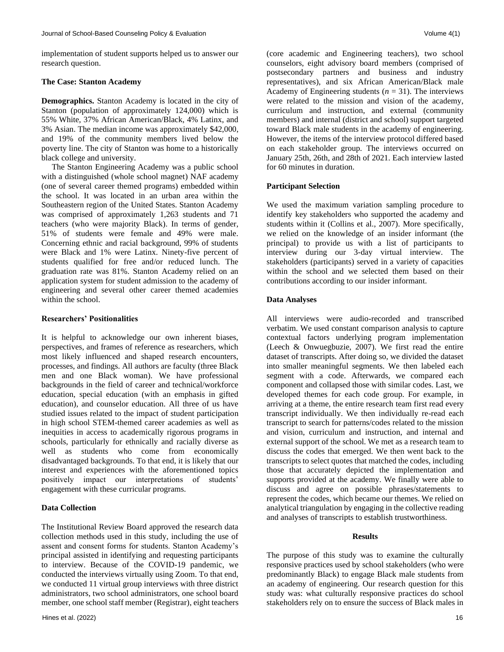implementation of student supports helped us to answer our research question.

#### **The Case: Stanton Academy**

**Demographics.** Stanton Academy is located in the city of Stanton (population of approximately 124,000) which is 55% White, 37% African American/Black, 4% Latinx, and 3% Asian. The median income was approximately \$42,000, and 19% of the community members lived below the poverty line. The city of Stanton was home to a historically black college and university.

 The Stanton Engineering Academy was a public school with a distinguished (whole school magnet) NAF academy (one of several career themed programs) embedded within the school. It was located in an urban area within the Southeastern region of the United States. Stanton Academy was comprised of approximately 1,263 students and 71 teachers (who were majority Black). In terms of gender, 51% of students were female and 49% were male. Concerning ethnic and racial background, 99% of students were Black and 1% were Latinx. Ninety-five percent of students qualified for free and/or reduced lunch. The graduation rate was 81%. Stanton Academy relied on an application system for student admission to the academy of engineering and several other career themed academies within the school.

#### **Researchers' Positionalities**

It is helpful to acknowledge our own inherent biases, perspectives, and frames of reference as researchers, which most likely influenced and shaped research encounters, processes, and findings. All authors are faculty (three Black men and one Black woman). We have professional backgrounds in the field of career and technical/workforce education, special education (with an emphasis in gifted education), and counselor education. All three of us have studied issues related to the impact of student participation in high school STEM-themed career academies as well as inequities in access to academically rigorous programs in schools, particularly for ethnically and racially diverse as well as students who come from economically disadvantaged backgrounds. To that end, it is likely that our interest and experiences with the aforementioned topics positively impact our interpretations of students' engagement with these curricular programs.

# **Data Collection**

The Institutional Review Board approved the research data collection methods used in this study, including the use of assent and consent forms for students. Stanton Academy's principal assisted in identifying and requesting participants to interview. Because of the COVID-19 pandemic, we conducted the interviews virtually using Zoom. To that end, we conducted 11 virtual group interviews with three district administrators, two school administrators, one school board member, one school staff member (Registrar), eight teachers

(core academic and Engineering teachers), two school counselors, eight advisory board members (comprised of postsecondary partners and business and industry representatives), and six African American/Black male Academy of Engineering students  $(n = 31)$ . The interviews were related to the mission and vision of the academy, curriculum and instruction, and external (community members) and internal (district and school) support targeted toward Black male students in the academy of engineering. However, the items of the interview protocol differed based on each stakeholder group. The interviews occurred on January 25th, 26th, and 28th of 2021. Each interview lasted for 60 minutes in duration.

#### **Participant Selection**

We used the maximum variation sampling procedure to identify key stakeholders who supported the academy and students within it (Collins et al., 2007). More specifically, we relied on the knowledge of an insider informant (the principal) to provide us with a list of participants to interview during our 3-day virtual interview. The stakeholders (participants) served in a variety of capacities within the school and we selected them based on their contributions according to our insider informant.

# **Data Analyses**

All interviews were audio-recorded and transcribed verbatim. We used constant comparison analysis to capture contextual factors underlying program implementation (Leech & Onwuegbuzie, 2007). We first read the entire dataset of transcripts. After doing so, we divided the dataset into smaller meaningful segments. We then labeled each segment with a code. Afterwards, we compared each component and collapsed those with similar codes. Last, we developed themes for each code group. For example, in arriving at a theme, the entire research team first read every transcript individually. We then individually re-read each transcript to search for patterns/codes related to the mission and vision, curriculum and instruction, and internal and external support of the school. We met as a research team to discuss the codes that emerged. We then went back to the transcripts to select quotes that matched the codes, including those that accurately depicted the implementation and supports provided at the academy. We finally were able to discuss and agree on possible phrases/statements to represent the codes, which became our themes. We relied on analytical triangulation by engaging in the collective reading and analyses of transcripts to establish trustworthiness.

#### **Results**

The purpose of this study was to examine the culturally responsive practices used by school stakeholders (who were predominantly Black) to engage Black male students from an academy of engineering. Our research question for this study was: what culturally responsive practices do school stakeholders rely on to ensure the success of Black males in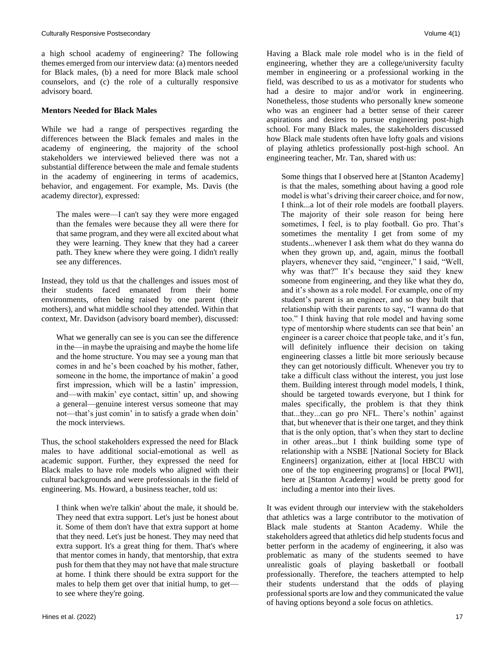a high school academy of engineering? The following themes emerged from our interview data: (a) mentors needed for Black males, (b) a need for more Black male school counselors, and (c) the role of a culturally responsive advisory board.

# **Mentors Needed for Black Males**

While we had a range of perspectives regarding the differences between the Black females and males in the academy of engineering, the majority of the school stakeholders we interviewed believed there was not a substantial difference between the male and female students in the academy of engineering in terms of academics, behavior, and engagement. For example, Ms. Davis (the academy director), expressed:

The males were—I can't say they were more engaged than the females were because they all were there for that same program, and they were all excited about what they were learning. They knew that they had a career path. They knew where they were going. I didn't really see any differences.

Instead, they told us that the challenges and issues most of their students faced emanated from their home environments, often being raised by one parent (their mothers), and what middle school they attended. Within that context, Mr. Davidson (advisory board member), discussed:

What we generally can see is you can see the difference in the—in maybe the upraising and maybe the home life and the home structure. You may see a young man that comes in and he's been coached by his mother, father, someone in the home, the importance of makin' a good first impression, which will be a lastin' impression, and—with makin' eye contact, sittin' up, and showing a general—genuine interest versus someone that may not—that's just comin' in to satisfy a grade when doin' the mock interviews.

Thus, the school stakeholders expressed the need for Black males to have additional social-emotional as well as academic support. Further, they expressed the need for Black males to have role models who aligned with their cultural backgrounds and were professionals in the field of engineering. Ms. Howard, a business teacher, told us:

I think when we're talkin' about the male, it should be. They need that extra support. Let's just be honest about it. Some of them don't have that extra support at home that they need. Let's just be honest. They may need that extra support. It's a great thing for them. That's where that mentor comes in handy, that mentorship, that extra push for them that they may not have that male structure at home. I think there should be extra support for the males to help them get over that initial hump, to get to see where they're going.

Having a Black male role model who is in the field of engineering, whether they are a college/university faculty member in engineering or a professional working in the field, was described to us as a motivator for students who had a desire to major and/or work in engineering. Nonetheless, those students who personally knew someone who was an engineer had a better sense of their career aspirations and desires to pursue engineering post-high school. For many Black males, the stakeholders discussed how Black male students often have lofty goals and visions of playing athletics professionally post-high school. An engineering teacher, Mr. Tan, shared with us:

Some things that I observed here at [Stanton Academy] is that the males, something about having a good role model is what's driving their career choice, and for now, I think...a lot of their role models are football players. The majority of their sole reason for being here sometimes, I feel, is to play football. Go pro. That's sometimes the mentality I get from some of my students...whenever I ask them what do they wanna do when they grown up, and, again, minus the football players, whenever they said, "engineer," I said, "Well, why was that?" It's because they said they knew someone from engineering, and they like what they do, and it's shown as a role model. For example, one of my student's parent is an engineer, and so they built that relationship with their parents to say, "I wanna do that too." I think having that role model and having some type of mentorship where students can see that bein' an engineer is a career choice that people take, and it's fun, will definitely influence their decision on taking engineering classes a little bit more seriously because they can get notoriously difficult. Whenever you try to take a difficult class without the interest, you just lose them. Building interest through model models, I think, should be targeted towards everyone, but I think for males specifically, the problem is that they think that...they...can go pro NFL. There's nothin' against that, but whenever that is their one target, and they think that is the only option, that's when they start to decline in other areas...but I think building some type of relationship with a NSBE [National Society for Black Engineers] organization, either at [local HBCU with one of the top engineering programs] or [local PWI], here at [Stanton Academy] would be pretty good for including a mentor into their lives.

It was evident through our interview with the stakeholders that athletics was a large contributor to the motivation of Black male students at Stanton Academy. While the stakeholders agreed that athletics did help students focus and better perform in the academy of engineering, it also was problematic as many of the students seemed to have unrealistic goals of playing basketball or football professionally. Therefore, the teachers attempted to help their students understand that the odds of playing professional sports are low and they communicated the value of having options beyond a sole focus on athletics.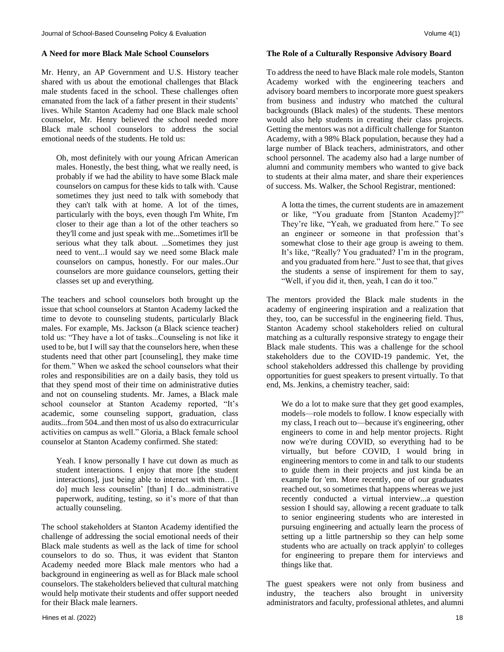# **A Need for more Black Male School Counselors**

Mr. Henry, an AP Government and U.S. History teacher shared with us about the emotional challenges that Black male students faced in the school. These challenges often emanated from the lack of a father present in their students' lives. While Stanton Academy had one Black male school counselor, Mr. Henry believed the school needed more Black male school counselors to address the social emotional needs of the students. He told us:

Oh, most definitely with our young African American males. Honestly, the best thing, what we really need, is probably if we had the ability to have some Black male counselors on campus for these kids to talk with. 'Cause sometimes they just need to talk with somebody that they can't talk with at home. A lot of the times, particularly with the boys, even though I'm White, I'm closer to their age than a lot of the other teachers so they'll come and just speak with me...Sometimes it'll be serious what they talk about. ...Sometimes they just need to vent...I would say we need some Black male counselors on campus, honestly. For our males..Our counselors are more guidance counselors, getting their classes set up and everything.

The teachers and school counselors both brought up the issue that school counselors at Stanton Academy lacked the time to devote to counseling students, particularly Black males. For example, Ms. Jackson (a Black science teacher) told us: "They have a lot of tasks...Counseling is not like it used to be, but I will say that the counselors here, when these students need that other part [counseling], they make time for them." When we asked the school counselors what their roles and responsibilities are on a daily basis, they told us that they spend most of their time on administrative duties and not on counseling students. Mr. James, a Black male school counselor at Stanton Academy reported, "It's academic, some counseling support, graduation, class audits...from 504..and then most of us also do extracurricular activities on campus as well." Gloria, a Black female school counselor at Stanton Academy confirmed. She stated:

Yeah. I know personally I have cut down as much as student interactions. I enjoy that more [the student interactions], just being able to interact with them…[I do] much less counselin' [than] I do...administrative paperwork, auditing, testing, so it's more of that than actually counseling.

The school stakeholders at Stanton Academy identified the challenge of addressing the social emotional needs of their Black male students as well as the lack of time for school counselors to do so. Thus, it was evident that Stanton Academy needed more Black male mentors who had a background in engineering as well as for Black male school counselors. The stakeholders believed that cultural matching would help motivate their students and offer support needed for their Black male learners.

# **The Role of a Culturally Responsive Advisory Board**

To address the need to have Black male role models, Stanton Academy worked with the engineering teachers and advisory board members to incorporate more guest speakers from business and industry who matched the cultural backgrounds (Black males) of the students. These mentors would also help students in creating their class projects. Getting the mentors was not a difficult challenge for Stanton Academy, with a 98% Black population, because they had a large number of Black teachers, administrators, and other school personnel. The academy also had a large number of alumni and community members who wanted to give back to students at their alma mater, and share their experiences of success. Ms. Walker, the School Registrar, mentioned:

A lotta the times, the current students are in amazement or like, "You graduate from [Stanton Academy]?" They're like, "Yeah, we graduated from here." To see an engineer or someone in that profession that's somewhat close to their age group is aweing to them. It's like, "Really? You graduated? I'm in the program, and you graduated from here." Just to see that, that gives the students a sense of inspirement for them to say, "Well, if you did it, then, yeah, I can do it too."

The mentors provided the Black male students in the academy of engineering inspiration and a realization that they, too, can be successful in the engineering field. Thus, Stanton Academy school stakeholders relied on cultural matching as a culturally responsive strategy to engage their Black male students. This was a challenge for the school stakeholders due to the COVID-19 pandemic. Yet, the school stakeholders addressed this challenge by providing opportunities for guest speakers to present virtually. To that end, Ms. Jenkins, a chemistry teacher, said:

We do a lot to make sure that they get good examples, models—role models to follow. I know especially with my class, I reach out to—because it's engineering, other engineers to come in and help mentor projects. Right now we're during COVID, so everything had to be virtually, but before COVID, I would bring in engineering mentors to come in and talk to our students to guide them in their projects and just kinda be an example for 'em. More recently, one of our graduates reached out, so sometimes that happens whereas we just recently conducted a virtual interview...a question session I should say, allowing a recent graduate to talk to senior engineering students who are interested in pursuing engineering and actually learn the process of setting up a little partnership so they can help some students who are actually on track applyin' to colleges for engineering to prepare them for interviews and things like that.

The guest speakers were not only from business and industry, the teachers also brought in university administrators and faculty, professional athletes, and alumni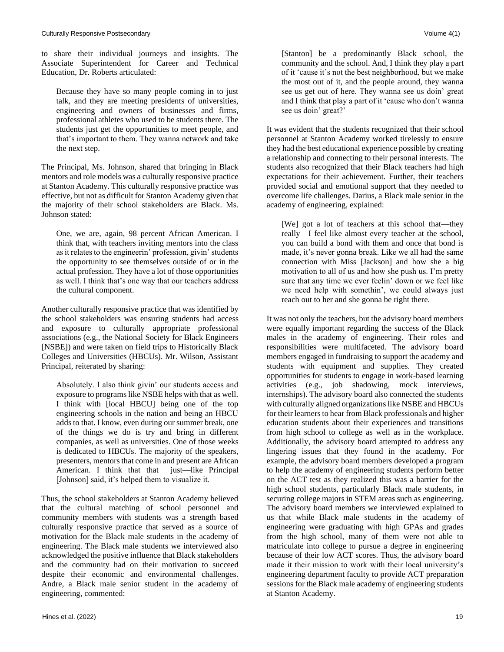to share their individual journeys and insights. The Associate Superintendent for Career and Technical Education, Dr. Roberts articulated:

Because they have so many people coming in to just talk, and they are meeting presidents of universities, engineering and owners of businesses and firms, professional athletes who used to be students there. The students just get the opportunities to meet people, and that's important to them. They wanna network and take the next step.

The Principal, Ms. Johnson, shared that bringing in Black mentors and role models was a culturally responsive practice at Stanton Academy. This culturally responsive practice was effective, but not as difficult for Stanton Academy given that the majority of their school stakeholders are Black. Ms. Johnson stated:

One, we are, again, 98 percent African American. I think that, with teachers inviting mentors into the class as it relates to the engineerin' profession, givin' students the opportunity to see themselves outside of or in the actual profession. They have a lot of those opportunities as well. I think that's one way that our teachers address the cultural component.

Another culturally responsive practice that was identified by the school stakeholders was ensuring students had access and exposure to culturally appropriate professional associations (e.g., the National Society for Black Engineers [NSBE]) and were taken on field trips to Historically Black Colleges and Universities (HBCUs). Mr. Wilson, Assistant Principal, reiterated by sharing:

Absolutely. I also think givin' our students access and exposure to programs like NSBE helps with that as well. I think with [local HBCU] being one of the top engineering schools in the nation and being an HBCU adds to that. I know, even during our summer break, one of the things we do is try and bring in different companies, as well as universities. One of those weeks is dedicated to HBCUs. The majority of the speakers, presenters, mentors that come in and present are African American. I think that that just—like Principal [Johnson] said, it's helped them to visualize it.

Thus, the school stakeholders at Stanton Academy believed that the cultural matching of school personnel and community members with students was a strength based culturally responsive practice that served as a source of motivation for the Black male students in the academy of engineering. The Black male students we interviewed also acknowledged the positive influence that Black stakeholders and the community had on their motivation to succeed despite their economic and environmental challenges. Andre, a Black male senior student in the academy of engineering, commented:

[Stanton] be a predominantly Black school, the community and the school. And, I think they play a part of it 'cause it's not the best neighborhood, but we make the most out of it, and the people around, they wanna see us get out of here. They wanna see us doin' great and I think that play a part of it 'cause who don't wanna see us doin' great?'

It was evident that the students recognized that their school personnel at Stanton Academy worked tirelessly to ensure they had the best educational experience possible by creating a relationship and connecting to their personal interests. The students also recognized that their Black teachers had high expectations for their achievement. Further, their teachers provided social and emotional support that they needed to overcome life challenges. Darius, a Black male senior in the academy of engineering, explained:

[We] got a lot of teachers at this school that—they really—I feel like almost every teacher at the school, you can build a bond with them and once that bond is made, it's never gonna break. Like we all had the same connection with Miss [Jackson] and how she a big motivation to all of us and how she push us. I'm pretty sure that any time we ever feelin' down or we feel like we need help with somethin', we could always just reach out to her and she gonna be right there.

It was not only the teachers, but the advisory board members were equally important regarding the success of the Black males in the academy of engineering. Their roles and responsibilities were multifaceted. The advisory board members engaged in fundraising to support the academy and students with equipment and supplies. They created opportunities for students to engage in work-based learning activities (e.g., job shadowing, mock interviews, internships). The advisory board also connected the students with culturally aligned organizations like NSBE and HBCUs for their learners to hear from Black professionals and higher education students about their experiences and transitions from high school to college as well as in the workplace. Additionally, the advisory board attempted to address any lingering issues that they found in the academy. For example, the advisory board members developed a program to help the academy of engineering students perform better on the ACT test as they realized this was a barrier for the high school students, particularly Black male students, in securing college majors in STEM areas such as engineering. The advisory board members we interviewed explained to us that while Black male students in the academy of engineering were graduating with high GPAs and grades from the high school, many of them were not able to matriculate into college to pursue a degree in engineering because of their low ACT scores. Thus, the advisory board made it their mission to work with their local university's engineering department faculty to provide ACT preparation sessions for the Black male academy of engineering students at Stanton Academy.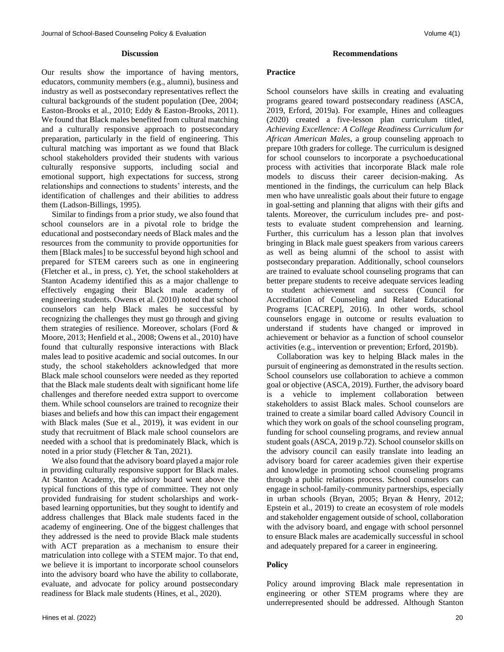#### **Discussion**

Our results show the importance of having mentors, educators, community members (e.g., alumni), business and industry as well as postsecondary representatives reflect the cultural backgrounds of the student population (Dee, 2004; Easton-Brooks et al., 2010; Eddy & Easton-Brooks, 2011). We found that Black males benefited from cultural matching and a culturally responsive approach to postsecondary preparation, particularly in the field of engineering. This cultural matching was important as we found that Black school stakeholders provided their students with various culturally responsive supports, including social and emotional support, high expectations for success, strong relationships and connections to students' interests, and the identification of challenges and their abilities to address them (Ladson-Billings, 1995).

 Similar to findings from a prior study, we also found that school counselors are in a pivotal role to bridge the educational and postsecondary needs of Black males and the resources from the community to provide opportunities for them [Black males] to be successful beyond high school and prepared for STEM careers such as one in engineering (Fletcher et al., in press, c). Yet, the school stakeholders at Stanton Academy identified this as a major challenge to effectively engaging their Black male academy of engineering students. Owens et al. (2010) noted that school counselors can help Black males be successful by recognizing the challenges they must go through and giving them strategies of resilience. Moreover, scholars (Ford & Moore, 2013; Henfield et al., 2008; Owens et al., 2010) have found that culturally responsive interactions with Black males lead to positive academic and social outcomes. In our study, the school stakeholders acknowledged that more Black male school counselors were needed as they reported that the Black male students dealt with significant home life challenges and therefore needed extra support to overcome them. While school counselors are trained to recognize their biases and beliefs and how this can impact their engagement with Black males (Sue et al., 2019), it was evident in our study that recruitment of Black male school counselors are needed with a school that is predominately Black, which is noted in a prior study (Fletcher & Tan, 2021).

 We also found that the advisory board played a major role in providing culturally responsive support for Black males. At Stanton Academy, the advisory board went above the typical functions of this type of committee. They not only provided fundraising for student scholarships and workbased learning opportunities, but they sought to identify and address challenges that Black male students faced in the academy of engineering. One of the biggest challenges that they addressed is the need to provide Black male students with ACT preparation as a mechanism to ensure their matriculation into college with a STEM major. To that end, we believe it is important to incorporate school counselors into the advisory board who have the ability to collaborate, evaluate, and advocate for policy around postsecondary readiness for Black male students (Hines, et al., 2020).

#### **Recommendations**

# **Practice**

School counselors have skills in creating and evaluating programs geared toward postsecondary readiness (ASCA, 2019, Erford, 2019a). For example, Hines and colleagues (2020) created a five-lesson plan curriculum titled, *Achieving Excellence: A College Readiness Curriculum for African American Males*, a group counseling approach to prepare 10th graders for college. The curriculum is designed for school counselors to incorporate a psychoeducational process with activities that incorporate Black male role models to discuss their career decision-making. As mentioned in the findings, the curriculum can help Black men who have unrealistic goals about their future to engage in goal-setting and planning that aligns with their gifts and talents. Moreover, the curriculum includes pre- and posttests to evaluate student comprehension and learning. Further, this curriculum has a lesson plan that involves bringing in Black male guest speakers from various careers as well as being alumni of the school to assist with postsecondary preparation. Additionally, school counselors are trained to evaluate school counseling programs that can better prepare students to receive adequate services leading to student achievement and success (Council for Accreditation of Counseling and Related Educational Programs [CACREP], 2016). In other words, school counselors engage in outcome or results evaluation to understand if students have changed or improved in achievement or behavior as a function of school counselor activities (e.g., intervention or prevention; Erford, 2019b).

 Collaboration was key to helping Black males in the pursuit of engineering as demonstrated in the results section. School counselors use collaboration to achieve a common goal or objective (ASCA, 2019). Further, the advisory board is a vehicle to implement collaboration between stakeholders to assist Black males. School counselors are trained to create a similar board called Advisory Council in which they work on goals of the school counseling program, funding for school counseling programs, and review annual student goals (ASCA, 2019 p.72). School counselor skills on the advisory council can easily translate into leading an advisory board for career academies given their expertise and knowledge in promoting school counseling programs through a public relations process. School counselors can engage in school-family-community partnerships, especially in urban schools (Bryan, 2005; Bryan & Henry, 2012; Epstein et al., 2019) to create an ecosystem of role models and stakeholder engagement outside of school, collaboration with the advisory board, and engage with school personnel to ensure Black males are academically successful in school and adequately prepared for a career in engineering.

# **Policy**

Policy around improving Black male representation in engineering or other STEM programs where they are underrepresented should be addressed. Although Stanton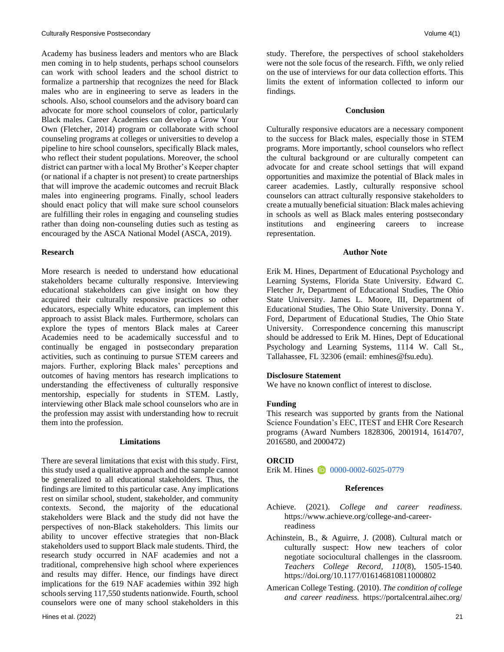Academy has business leaders and mentors who are Black men coming in to help students, perhaps school counselors can work with school leaders and the school district to formalize a partnership that recognizes the need for Black males who are in engineering to serve as leaders in the schools. Also, school counselors and the advisory board can advocate for more school counselors of color, particularly Black males. Career Academies can develop a Grow Your Own (Fletcher, 2014) program or collaborate with school counseling programs at colleges or universities to develop a pipeline to hire school counselors, specifically Black males, who reflect their student populations. Moreover, the school district can partner with a local My Brother's Keeper chapter (or national if a chapter is not present) to create partnerships that will improve the academic outcomes and recruit Black males into engineering programs. Finally, school leaders should enact policy that will make sure school counselors are fulfilling their roles in engaging and counseling studies rather than doing non-counseling duties such as testing as encouraged by the ASCA National Model (ASCA, 2019).

#### **Research**

More research is needed to understand how educational stakeholders became culturally responsive. Interviewing educational stakeholders can give insight on how they acquired their culturally responsive practices so other educators, especially White educators, can implement this approach to assist Black males. Furthermore, scholars can explore the types of mentors Black males at Career Academies need to be academically successful and to continually be engaged in postsecondary preparation activities, such as continuing to pursue STEM careers and majors. Further, exploring Black males' perceptions and outcomes of having mentors has research implications to understanding the effectiveness of culturally responsive mentorship, especially for students in STEM. Lastly, interviewing other Black male school counselors who are in the profession may assist with understanding how to recruit them into the profession.

#### **Limitations**

There are several limitations that exist with this study. First, this study used a qualitative approach and the sample cannot be generalized to all educational stakeholders. Thus, the findings are limited to this particular case. Any implications rest on similar school, student, stakeholder, and community contexts. Second, the majority of the educational stakeholders were Black and the study did not have the perspectives of non-Black stakeholders. This limits our ability to uncover effective strategies that non-Black stakeholders used to support Black male students. Third, the research study occurred in NAF academies and not a traditional, comprehensive high school where experiences and results may differ. Hence, our findings have direct implications for the 619 NAF academies within 392 high schools serving 117,550 students nationwide. Fourth, school counselors were one of many school stakeholders in this

study. Therefore, the perspectives of school stakeholders were not the sole focus of the research. Fifth, we only relied on the use of interviews for our data collection efforts. This limits the extent of information collected to inform our findings.

# **Conclusion**

Culturally responsive educators are a necessary component to the success for Black males, especially those in STEM programs. More importantly, school counselors who reflect the cultural background or are culturally competent can advocate for and create school settings that will expand opportunities and maximize the potential of Black males in career academies. Lastly, culturally responsive school counselors can attract culturally responsive stakeholders to create a mutually beneficial situation: Black males achieving in schools as well as Black males entering postsecondary institutions and engineering careers to increase representation.

#### **Author Note**

Erik M. Hines, Department of Educational Psychology and Learning Systems, Florida State University. Edward C. Fletcher Jr, Department of Educational Studies, The Ohio State University. James L. Moore, III, Department of Educational Studies, The Ohio State University. Donna Y. Ford, Department of Educational Studies, The Ohio State University. Correspondence concerning this manuscript should be addressed to Erik M. Hines, Dept of Educational Psychology and Learning Systems, 1114 W. Call St., Tallahassee, FL 32306 (email: [emhines@fsu.edu\)](mailto:emhines@fsu.edu).

#### **Disclosure Statement**

We have no known conflict of interest to disclose.

# **Funding**

This research was supported by grants from the National Science Foundation's EEC, ITEST and EHR Core Research programs (Award Numbers 1828306, 2001914, 1614707, 2016580, and 2000472)

#### **ORCID**

Erik M. Hines **1** [0000-0002-6025-0779](https://orcid.org/0000-0002-6025-0779)

# **References**

- Achieve. (2021). *College and career readiness*. [https://www.achieve.org/college-and-career](https://www.achieve.org/college-and-career-readiness)[readiness](https://www.achieve.org/college-and-career-readiness)
- Achinstein, B., & Aguirre, J. (2008). Cultural match or culturally suspect: How new teachers of color negotiate sociocultural challenges in the classroom. *Teachers College Record, 110*(8), 1505-1540. <https://doi.org/10.1177/016146810811000802>
- American College Testing. (2010). *The condition of college and career readiness.* [https://portalcentral.aihec.org/](https://portalcentral.aihec.org/MSIStudentSuccess/StudentSuccess/College%20and%20Career%20Readiness%202010.pdf)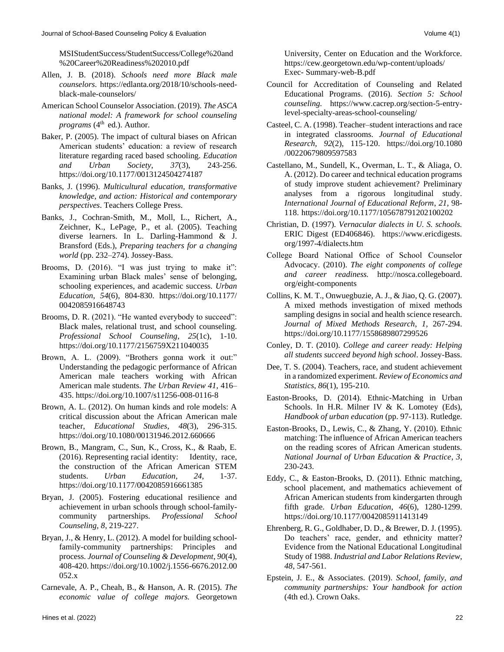[MSIStudentSuccess/StudentSuccess/College%20and](https://portalcentral.aihec.org/MSIStudentSuccess/StudentSuccess/College%20and%20Career%20Readiness%202010.pdf) [%20Career%20Readiness%202010.pdf](https://portalcentral.aihec.org/MSIStudentSuccess/StudentSuccess/College%20and%20Career%20Readiness%202010.pdf)

- Allen, J. B. (2018). *Schools need more Black male counselors*. [https://edlanta.org/2018/10/schools-need](https://edlanta.org/2018/10/schools-need-black-male-counselors/)[black-male-counselors/](https://edlanta.org/2018/10/schools-need-black-male-counselors/)
- American School Counselor Association. (2019). *The ASCA national model: A framework for school counseling programs* (4<sup>th</sup> ed.). Author.
- Baker, P. (2005). The impact of cultural biases on African American students' education: a review of research literature regarding raced based schooling. *Education and Urban Society*, *37*(3), 243-256. <https://doi.org/10.1177/0013124504274187>
- Banks, J. (1996). *Multicultural education, transformative knowledge, and action: Historical and contemporary perspectives*. Teachers College Press.
- Banks, J., Cochran-Smith, M., Moll, L., Richert, A., Zeichner, K., LePage, P., et al. (2005). Teaching diverse learners. In L. Darling-Hammond & J. Bransford (Eds.), *Preparing teachers for a changing world* (pp. 232–274). Jossey-Bass.
- Brooms, D. (2016). "I was just trying to make it": Examining urban Black males' sense of belonging, schooling experiences, and academic success. *Urban Education*, *54*(6), 804-830. [https://doi.org/10.1177/](https://doi.org/10.1177/0042085916648743) [0042085916648743](https://doi.org/10.1177/0042085916648743)
- Brooms, D. R. (2021). "He wanted everybody to succeed": Black males, relational trust, and school counseling. *Professional School Counseling*, *25*(1c), 1-10. <https://doi.org/10.1177/2156759X211040035>
- Brown, A. L. (2009). "Brothers gonna work it out:" Understanding the pedagogic performance of African American male teachers working with African American male students. *The Urban Review 41*, 416– 435.<https://doi.org/10.1007/s11256-008-0116-8>
- Brown, A. L. (2012). On human kinds and role models: A critical discussion about the African American male teacher, *Educational Studies*, *48*(3), 296-315. <https://doi.org/10.1080/00131946.2012.660666>
- Brown, B., Mangram, C., Sun, K., Cross, K., & Raab, E. (2016). Representing racial identity: Identity, race, the construction of the African American STEM students. *Urban Education*, *24*, 1-37. <https://doi.org/10.1177/0042085916661385>
- Bryan, J. (2005). Fostering educational resilience and achievement in urban schools through school-familycommunity partnerships. *Professional School Counseling, 8*, 219-227.
- Bryan, J., & Henry, L. (2012). A model for building schoolfamily-community partnerships: Principles and process. *Journal of Counseling & Development*, *90*(4), 408-420. [https://doi.org/10.1002/j.1556-6676.2012.00](https://doi.org/10.1002/j.1556-6676.2012.00052.x) [052.x](https://doi.org/10.1002/j.1556-6676.2012.00052.x)
- Carnevale, A. P., Cheah, B., & Hanson, A. R. (2015). *The economic value of college majors.* Georgetown

[org/eight-components](http://nosca.collegeboard.org/eight-components)

Collins, K. M. T., Onwuegbuzie, A. J., & Jiao, Q. G. (2007). A mixed methods investigation of mixed methods sampling designs in social and health science research. *Journal of Mixed Methods Research*, *1*, 267-294. <https://doi.org/10.1177/1558689807299526>

College Board National Office of School Counselor Advocacy. (2010). *The eight components of college and career readiness.* [http://nosca.collegeboard.](http://nosca.collegeboard.org/eight-components)

University, Center on Education and the Workforce. [https://cew.georgetown.edu/wp-content/uploads/](https://cew.georgetown.edu/wp-content/uploads/Exec-Summary-web-B.pdf)

Council for Accreditation of Counseling and Related Educational Programs. (2016). *Section 5: School counseling.* [https://www.cacrep.org/section-5-entry-](https://www.cacrep.org/section-5-entry-level-specialty-areas-school-counseling/)

Casteel, C. A. (1998). Teacher–student interactions and race in integrated classrooms. *Journal of Educational Research*, *92*(2), 115-120. [https://doi.org/10.1080](https://doi.org/10.1080/00220679809597583)

Castellano, M., Sundell, K., Overman, L. T., & Aliaga, O. A. (2012). Do career and technical education programs of study improve student achievement? Preliminary analyses from a rigorous longitudinal study. *International Journal of Educational Reform*, *21*, 98- 118. <https://doi.org/10.1177/105678791202100202> Christian, D. (1997). *Vernacular dialects in U. S. schools.*  ERIC Digest (ED406846). [https://www.ericdigests.](https://www.ericdigests.org/1997-4/dialects.htm)

[level-specialty-areas-school-counseling/](https://www.cacrep.org/section-5-entry-level-specialty-areas-school-counseling/)

Exec- [Summary-web-B.pdf](https://cew.georgetown.edu/wp-content/uploads/Exec-Summary-web-B.pdf)

[/00220679809597583](https://doi.org/10.1080/00220679809597583)

[org/1997-4/dialects.htm](https://www.ericdigests.org/1997-4/dialects.htm)

- Conley, D. T. (2010). *College and career ready: Helping all students succeed beyond high school*. Jossey-Bass.
- Dee, T. S. (2004). Teachers, race, and student achievement in a randomized experiment. *Review of Economics and Statistics*, *86*(1), 195-210.
- Easton-Brooks, D. (2014). Ethnic-Matching in Urban Schools. In H.R. Milner IV & K. Lomotey (Eds), *Handbook of urban education* (pp. 97-113). Rutledge*.*
- Easton-Brooks, D., Lewis, C., & Zhang, Y. (2010). Ethnic matching: The influence of African American teachers on the reading scores of African American students. *National Journal of Urban Education & Practice*, *3*, 230-243.
- Eddy, C., & Easton-Brooks, D. (2011). Ethnic matching, school placement, and mathematics achievement of African American students from kindergarten through fifth grade. *Urban Education*, *46*(6), 1280-1299. <https://doi.org/10.1177/0042085911413149>
- Ehrenberg, R. G., Goldhaber, D. D., & Brewer, D. J. (1995). Do teachers' race, gender, and ethnicity matter? Evidence from the National Educational Longitudinal Study of 1988. *Industrial and Labor Relations Review*, *48*, 547-561.
- Epstein, J. E., & Associates. (2019). *School, family, and community partnerships: Your handbook for action* (4th ed.). Crown Oaks.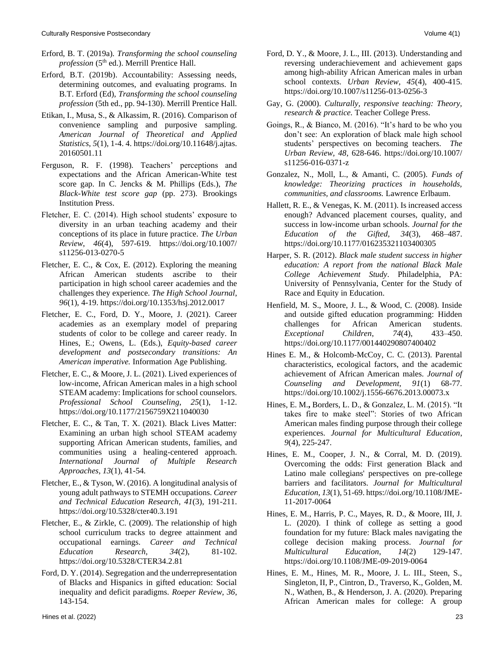- Erford, B. T. (2019a). *Transforming the school counseling profession* (5<sup>th</sup> ed.). Merrill Prentice Hall.
- Erford, B.T. (2019b). Accountability: Assessing needs, determining outcomes, and evaluating programs. In B.T. Erford (Ed), *Transforming the school counseling profession* (5th ed., pp. 94-130). Merrill Prentice Hall.
- Etikan, I., Musa, S., & Alkassim, R. (2016). Comparison of convenience sampling and purposive sampling. *American Journal of Theoretical and Applied Statistics*, *5*(1), 1-4. 4[. https://doi.org/10.11648/j.ajtas.](https://doi.org/10.11648/j.ajtas.20160501.11) [20160501.11](https://doi.org/10.11648/j.ajtas.20160501.11)
- Ferguson, R. F. (1998). Teachers' perceptions and expectations and the African American-White test score gap. In C. Jencks & M. Phillips (Eds.), *The Black-White test score gap* (pp. 273). Brookings Institution Press.
- Fletcher, E. C. (2014). High school students' exposure to diversity in an urban teaching academy and their conceptions of its place in future practice. *The Urban Review*, *46*(4), 597-619. [https://doi.org/10.1007/](https://doi.org/10.1007/s11256-013-0270-5) [s11256-013-0270-5](https://doi.org/10.1007/s11256-013-0270-5)
- Fletcher, E. C., & Cox, E. (2012). Exploring the meaning African American students ascribe to their participation in high school career academies and the challenges they experience. *The High School Journal*, *96*(1), 4-19.<https://doi.org/10.1353/hsj.2012.0017>
- Fletcher, E. C., Ford, D. Y., Moore, J. (2021). Career academies as an exemplary model of preparing students of color to be college and career ready. In Hines, E.; Owens, L. (Eds.), *Equity-based career development and postsecondary transitions: An American imperative.* Information Age Publishing.
- Fletcher, E. C., & Moore, J. L. (2021). Lived experiences of low-income, African American males in a high school STEAM academy: Implications for school counselors. *Professional School Counseling*, *25*(1), 1-12. <https://doi.org/10.1177/2156759X211040030>
- Fletcher, E. C., & Tan, T. X. (2021). Black Lives Matter: Examining an urban high school STEAM academy supporting African American students, families, and communities using a healing-centered approach. *International Journal of Multiple Research Approaches*, *13*(1), 41-54*.*
- Fletcher, E., & Tyson, W. (2016). A longitudinal analysis of young adult pathways to STEMH occupations. *Career and Technical Education Research*, *41*(3), 191-211. <https://doi.org/10.5328/cter40.3.191>
- Fletcher, E., & Zirkle, C. (2009). The relationship of high school curriculum tracks to degree attainment and occupational earnings. *Career and Technical Education Research*, *34*(2), 81-102. <https://doi.org/10.5328/CTER34.2.81>
- Ford, D. Y. (2014). Segregation and the underrepresentation of Blacks and Hispanics in gifted education: Social inequality and deficit paradigms. *Roeper Review*, *36*, 143-154.
- Ford, D. Y., & Moore, J. L., III. (2013). Understanding and reversing underachievement and achievement gaps among high-ability African American males in urban school contexts. *Urban Review, 45*(4), 400-415. <https://doi.org/10.1007/s11256-013-0256-3>
- Gay, G. (2000). *Culturally, responsive teaching: Theory, research & practice.* Teacher College Press.
- Goings, R., & Bianco, M. (2016). "It's hard to be who you don't see: An exploration of black male high school students' perspectives on becoming teachers. *The Urban Review, 48*, 628-646. [https://doi.org/10.1007/](https://link.springer.com/article/10.1007/s11256-016-0371-z) [s11256-016-0371-z](https://doi.org/10.1007/s11256-016-0371-z)
- Gonzalez, N., Moll, L., & Amanti, C. (2005). *Funds of knowledge: Theorizing practices in households, communities, and classrooms.* Lawrence Erlbaum.
- Hallett, R. E., & Venegas, K. M. (2011). Is increased access enough? Advanced placement courses, quality, and success in low-income urban schools. *Journal for the Education of the Gifted, 34*(3), 468–487. <https://doi.org/10.1177/016235321103400305>
- Harper, S. R. (2012). *Black male student success in higher education: A report from the national Black Male College Achievement Study*. Philadelphia, PA: University of Pennsylvania, Center for the Study of Race and Equity in Education.
- Henfield, M. S., Moore, J. L., & Wood, C. (2008). Inside and outside gifted education programming: Hidden challenges for African American students. *Exceptional Children*, *74*(4), 433–450. <https://doi.org/10.1177/001440290807400402>
- Hines E. M., & Holcomb-McCoy, C. C. (2013). Parental characteristics, ecological factors, and the academic achievement of African American males. *Journal of Counseling and Development, 91*(1) 68-77*.* <https://doi.org/10.1002/j.1556-6676.2013.00073.x>
- Hines, E. M.**,** Borders, L. D., & Gonzalez, L. M. (2015). "It takes fire to make steel": Stories of two African American males finding purpose through their college experiences. *Journal for Multicultural Education*, *9*(4), 225-247.
- Hines, E. M., Cooper, J. N., & Corral, M. D. (2019). Overcoming the odds: First generation Black and Latino male collegians' perspectives on pre-college barriers and facilitators. *Journal for Multicultural Education*, *13*(1), 51-69[. https://doi.org/10.1108/JME-](https://doi.org/10.1108/JME-11-2017-0064)[11-2017-0064](https://doi.org/10.1108/JME-11-2017-0064)
- Hines, E. M., Harris, P. C., Mayes, R. D., & Moore, III, J. L. (2020). I think of college as setting a good foundation for my future: Black males navigating the college decision making process. *Journal for Multicultural Education*, *14*(2) 129-147. <https://doi.org/10.1108/JME-09-2019-0064>
- Hines, E. M., Hines, M. R., Moore, J. L. III., Steen, S., Singleton, II, P., Cintron, D., Traverso, K., Golden, M. N., Wathen, B., & Henderson, J. A. (2020). Preparing African American males for college: A group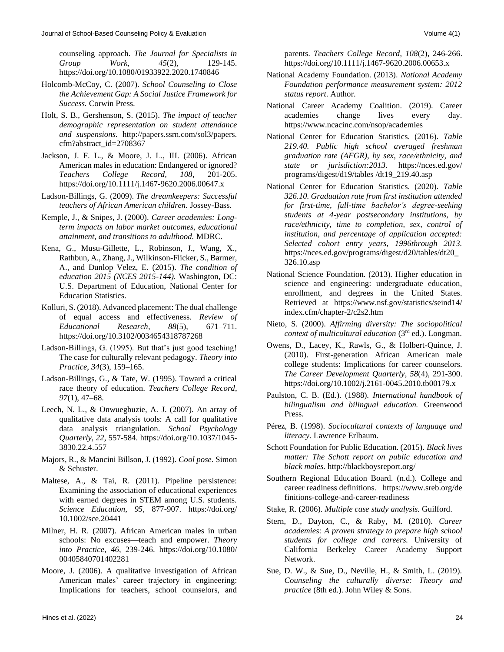counseling approach. *The Journal for Specialists in Group Work*, *45*(2), 129-145. <https://doi.org/10.1080/01933922.2020.1740846>

- Holcomb-McCoy, C. (2007). *School Counseling to Close the Achievement Gap: A Social Justice Framework for Success.* Corwin Press.
- Holt, S. B., Gershenson, S. (2015). *The impact of teacher demographic representation on student attendance and suspensions.* [http://papers.ssrn.com/sol3/papers.](http://papers.ssrn.com/sol3/papers.cfm?abstract_id=2708367) [cfm?abstract\\_id=2708367](http://papers.ssrn.com/sol3/papers.cfm?abstract_id=2708367)
- Jackson, J. F. L., & Moore, J. L., III. (2006). African American males in education: Endangered or ignored? *Teachers College Record, 108*, 201-205. <https://doi.org/10.1111/j.1467-9620.2006.00647.x>
- Ladson-Billings, G. (2009). *The dreamkeepers: Successful teachers of African American children.* Jossey-Bass.
- Kemple, J., & Snipes, J. (2000). *Career academies: Longterm impacts on labor market outcomes, educational attainment, and transitions to adulthood.* MDRC.
- Kena, G., Musu-Gillette, L., Robinson, J., Wang, X., Rathbun, A., Zhang, J., Wilkinson-Flicker, S., Barmer, A., and Dunlop Velez, E. (2015). *The condition of education 2015 (NCES 2015-144).* Washington, DC: U.S. Department of Education, National Center for Education Statistics.
- Kolluri, S. (2018). Advanced placement: The dual challenge of equal access and effectiveness. *Review of Educational Research, 88*(5), 671–711. <https://doi.org/10.3102/0034654318787268>
- Ladson-Billings, G. (1995). But that's just good teaching! The case for culturally relevant pedagogy. *Theory into Practice*, *34*(3), 159–165.
- Ladson-Billings, G., & Tate, W. (1995). Toward a critical race theory of education. *Teachers College Record*, *97*(1), 47–68.
- Leech, N. L., & Onwuegbuzie, A. J. (2007). An array of qualitative data analysis tools: A call for qualitative data analysis triangulation. *School Psychology Quarterly, 22*, 557-584. [https://doi.org/10.1037/1045-](https://doi.org/10.1037/1045-3830.22.4.557) [3830.22.4.557](https://doi.org/10.1037/1045-3830.22.4.557)
- Majors, R., & Mancini Billson, J. (1992). *Cool pose.* Simon & Schuster.
- Maltese, A., & Tai, R. (2011). Pipeline persistence: Examining the association of educational experiences with earned degrees in STEM among U.S. students. *Science Education*, *95*, 877-907. [https://doi.org/](https://doi.org/10.1002/sce.20441) [10.1002/sce.20441](https://doi.org/10.1002/sce.20441)
- Milner, H. R. (2007). African American males in urban schools: No excuses—teach and empower. *Theory into Practice*, *46*, 239-246. [https://doi.org/10.1080/](https://doi.org/10.1080/00405840701402281) [00405840701402281](https://doi.org/10.1080/00405840701402281)
- Moore, J. (2006). A qualitative investigation of African American males' career trajectory in engineering: Implications for teachers, school counselors, and

parents. *Teachers College Record*, *108*(2), 246-266. <https://doi.org/10.1111/j.1467-9620.2006.00653.x>

- National Academy Foundation. (2013). *National Academy Foundation performance measurement system: 2012 status report*. Author.
- National Career Academy Coalition. (2019). Career academies change lives every day. <https://www.ncacinc.com/nsop/academies>
- National Center for Education Statistics. (2016). *Table 219.40. Public high school averaged freshman graduation rate (AFGR), by sex, race/ethnicity, and state or jurisdiction:2013.* [https://nces.ed.gov/](https://nces.ed.gov/programs/digest/d20/tables/dt20_219.40.asp) [programs/digest/d19/tables](https://nces.ed.gov/programs/digest/d20/tables/dt20_219.40.asp) /dt19\_219.40.asp
- National Center for Education Statistics. (2020). *Table 326.10. Graduation rate from first institution attended for first-time, full-time bachelor's degree-seeking students at 4-year postsecondary institutions, by race/ethnicity, time to completion, sex, control of institution, and percentage of application accepted: Selected cohort entry years, 1996through 2013.* [https://nces.ed.gov/programs/digest/d20/tables/dt20\\_](https://nces.ed.gov/programs/digest/d20/tables/dt20_326.10.asp) [326.10.asp](https://nces.ed.gov/programs/digest/d20/tables/dt20_326.10.asp)
- National Science Foundation. (2013). Higher education in science and engineering: undergraduate education, enrollment, and degrees in the United States. Retrieved at [https://www.nsf.gov/statistics/seind14/](https://www.nsf.gov/statistics/seind14/index.cfm/chapter-2/c2s2.htm) [index.cfm/chapter-2/c2s2.htm](https://www.nsf.gov/statistics/seind14/index.cfm/chapter-2/c2s2.htm)
- Nieto, S. (2000). *Affirming diversity: The sociopolitical context of multicultural education* (3rd ed.). Longman.
- Owens, D., Lacey, K., Rawls, G., & Holbert-Quince, J. (2010). First-generation African American male college students: Implications for career counselors. *The Career Development Quarterly*, *58*(4), 291-300. <https://doi.org/10.1002/j.2161-0045.2010.tb00179.x>
- Paulston, C. B. (Ed.). (1988). *International handbook of bilingualism and bilingual education.* Greenwood Press.
- Pérez, B. (1998). *Sociocultural contexts of language and literacy.* Lawrence Erlbaum.
- Schott Foundation for Public Education. (2015). *Black lives matter: The Schott report on public education and black males.* <http://blackboysreport.org/>
- Southern Regional Education Board. (n.d.). College and career readiness definitions. [https://www.sreb.org/de](https://www.sreb.org/definitions-college-and-career-readiness) [finitions-college-and-career-readiness](https://www.sreb.org/definitions-college-and-career-readiness)
- Stake, R. (2006). *Multiple case study analysis.* Guilford.
- Stern, D., Dayton, C., & Raby, M. (2010). *Career academies: A proven strategy to prepare high school students for college and careers.* University of California Berkeley Career Academy Support Network.
- Sue, D. W., & Sue, D., Neville, H., & Smith, L. (2019). *Counseling the culturally diverse: Theory and practice* (8th ed.). John Wiley & Sons.